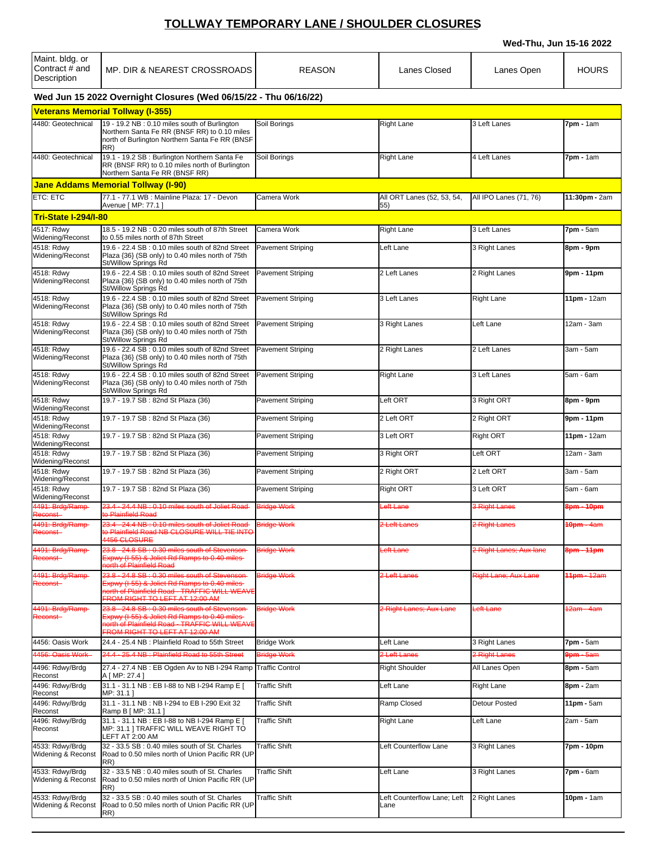## **TOLLWAY TEMPORARY LANE / SHOULDER CLOSURES**

**Wed-Thu, Jun 15-16 2022**

| Maint. bldg. or<br>Contract # and<br>Description | MP. DIR & NEAREST CROSSROADS                                                                                                                                                        | <b>REASON</b>            | Lanes Closed                        | Lanes Open              | <b>HOURS</b>             |
|--------------------------------------------------|-------------------------------------------------------------------------------------------------------------------------------------------------------------------------------------|--------------------------|-------------------------------------|-------------------------|--------------------------|
|                                                  | Wed Jun 15 2022 Overnight Closures (Wed 06/15/22 - Thu 06/16/22)                                                                                                                    |                          |                                     |                         |                          |
|                                                  | <b>Veterans Memorial Tollway (I-355)</b>                                                                                                                                            |                          |                                     |                         |                          |
| 4480: Geotechnical                               | 19 - 19.2 NB: 0.10 miles south of Burlington<br>Northern Santa Fe RR (BNSF RR) to 0.10 miles<br>north of Burlington Northern Santa Fe RR (BNSF<br>RR)                               | Soil Borings             | <b>Right Lane</b>                   | 3 Left Lanes            | 7pm - 1am                |
| 4480: Geotechnical                               | 19.1 - 19.2 SB : Burlington Northern Santa Fe<br>RR (BNSF RR) to 0.10 miles north of Burlington<br>Northern Santa Fe RR (BNSF RR)                                                   | Soil Borings             | <b>Right Lane</b>                   | 4 Left Lanes            | 7pm - 1am                |
|                                                  | <b>Jane Addams Memorial Tollway (I-90)</b>                                                                                                                                          |                          |                                     |                         |                          |
| ETC: ETC                                         | 77.1 - 77.1 WB : Mainline Plaza: 17 - Devon<br>Avenue [ MP: 77.1 ]                                                                                                                  | Camera Work              | All ORT Lanes (52, 53, 54,<br>55)   | All IPO Lanes (71, 76)  | 11:30pm - 2am            |
| <b>Tri-State I-294/I-80</b>                      |                                                                                                                                                                                     |                          |                                     |                         |                          |
| 4517: Rdwy<br>Widening/Reconst                   | 18.5 - 19.2 NB: 0.20 miles south of 87th Street<br>to 0.55 miles north of 87th Street                                                                                               | Camera Work              | <b>Right Lane</b>                   | 3 Left Lanes            | <b>7pm</b> - 5am         |
| 4518: Rdwy<br>Widening/Reconst                   | 19.6 - 22.4 SB : 0.10 miles south of 82nd Street<br>Plaza {36} (SB only) to 0.40 miles north of 75th<br>St/Willow Springs Rd                                                        | Pavement Striping        | Left Lane                           | 3 Right Lanes           | 8pm - 9pm                |
| 4518: Rdwy<br>Widening/Reconst                   | 19.6 - 22.4 SB: 0.10 miles south of 82nd Street<br>Plaza {36} (SB only) to 0.40 miles north of 75th<br>St/Willow Springs Rd                                                         | Pavement Striping        | 2 Left Lanes                        | 2 Right Lanes           | 9pm - 11pm               |
| 4518: Rdwy<br>Widening/Reconst                   | 19.6 - 22.4 SB: 0.10 miles south of 82nd Street<br>Plaza {36} (SB only) to 0.40 miles north of 75th<br>St/Willow Springs Rd                                                         | Pavement Striping        | 3 Left Lanes                        | <b>Right Lane</b>       | 11pm - 12am              |
| 4518: Rdwy<br>Widening/Reconst                   | 19.6 - 22.4 SB: 0.10 miles south of 82nd Street<br>Plaza {36} (SB only) to 0.40 miles north of 75th<br>St/Willow Springs Rd                                                         | <b>Pavement Striping</b> | 3 Right Lanes                       | Left Lane               | 12am - 3am               |
| 4518: Rdwy<br>Widening/Reconst                   | 19.6 - 22.4 SB: 0.10 miles south of 82nd Street<br>Plaza {36} (SB only) to 0.40 miles north of 75th<br>St/Willow Springs Rd                                                         | <b>Pavement Striping</b> | 2 Right Lanes                       | 2 Left Lanes            | 3am - 5am                |
| 4518: Rdwy<br>Widening/Reconst                   | 19.6 - 22.4 SB: 0.10 miles south of 82nd Street<br>Plaza {36} (SB only) to 0.40 miles north of 75th<br>St/Willow Springs Rd                                                         | <b>Pavement Striping</b> | <b>Right Lane</b>                   | 3 Left Lanes            | 5am - 6am                |
| 4518: Rdwy<br>Widening/Reconst                   | 19.7 - 19.7 SB: 82nd St Plaza (36)                                                                                                                                                  | <b>Pavement Striping</b> | Left ORT                            | 3 Right ORT             | 8pm - 9pm                |
| 4518: Rdwy<br>Widening/Reconst                   | 19.7 - 19.7 SB : 82nd St Plaza (36)                                                                                                                                                 | Pavement Striping        | 2 Left ORT                          | 2 Right ORT             | 9pm - 11pm               |
| 4518: Rdwy<br>Widening/Reconst                   | 19.7 - 19.7 SB: 82nd St Plaza (36)                                                                                                                                                  | Pavement Striping        | 3 Left ORT                          | <b>Right ORT</b>        | 11pm - 12am              |
| 4518: Rdwy<br>Widening/Reconst                   | 19.7 - 19.7 SB: 82nd St Plaza (36)                                                                                                                                                  | Pavement Striping        | 3 Right ORT                         | Left ORT                | 12am - 3am               |
| 4518: Rdwy<br>Widening/Reconst                   | 19.7 - 19.7 SB: 82nd St Plaza (36)                                                                                                                                                  | <b>Pavement Striping</b> | 2 Right ORT                         | 2 Left ORT              | 3am - 5am                |
| 4518: Rdwy<br>Widening/Reconst                   | 19.7 - 19.7 SB: 82nd St Plaza (36)                                                                                                                                                  | <b>Pavement Striping</b> | <b>Right ORT</b>                    | 3 Left ORT              | 5am - 6am                |
| 4491: Brdg/Ramp-<br>Reconst-                     | 23.4 - 24.4 NB : 0.10 miles south of Joliet Road<br>to Plainfield Road                                                                                                              | <b>Bridge Work</b>       | eft Lane                            | 3 Right Lanes           | 8 <del>pm - 10pm</del>   |
| 4491: Brdg/Ramp-<br>Reconst-                     | 23.4 - 24.4 NB: 0.10 miles south of Joliet Road Bridge Work<br>to Plainfield Road NB CLOSURE WILL TIE INTO<br>4456 CLOSURE                                                          |                          | 2 Left Lanes                        | 2 Right Lanes           | <b>10pm - 4am</b>        |
| 4491: Brdg/Ramp-<br>Reconst-                     | 23.8 - 24.8 SB : 0.30 miles south of Stevenson-<br>Expwy (I-55) & Joliet Rd Ramps to 0.40 miles-<br>north of Plainfield Road                                                        | <b>Bridge Work</b>       | eft Lane                            | 2 Right Lanes; Aux lane | 8pm - 11pm               |
| 4491: Brdg/Ramp-<br>Reconst-                     | 23.8 - 24.8 SB : 0.30 miles south of Stevenson-<br>Expwy (I-55) & Joliet Rd Ramps to 0.40 miles-<br>north of Plainfield Road - TRAFFIC WILL WEAVE<br>FROM RIGHT TO LEFT AT 12:00 AM | <b>Bridge Work</b>       | 2 Left Lanes                        | Right Lane; Aux Lane    | 1 <sub>1</sub> pm - 12am |
| 4491: Brdg/Ramp-<br>Reconst-                     | 23.8 - 24.8 SB : 0.30 miles south of Stevenson-<br>Expwy (I-55) & Joliet Rd Ramps to 0.40 miles<br>north of Plainfield Road - TRAFFIC WILL WEAVE<br>FROM RIGHT TO LEFT AT 12:00 AM  | <b>Bridge Work</b>       | 2 Right Lanes; Aux Lane             | eft Lane                | <del>2am - 4am</del>     |
| 4456: Oasis Work                                 | 24.4 - 25.4 NB: Plainfield Road to 55th Street                                                                                                                                      | <b>Bridge Work</b>       | Left Lane                           | 3 Right Lanes           | 7pm - 5am                |
| 4456: Oasis Work                                 | -25.4 NB: Plainfield Road to 55th Street<br>24.4                                                                                                                                    | <b>Bridge Work</b>       | 2 Left Lanes                        | 2 Right Lanes           | <b>9pm - 5am</b>         |
| 4496: Rdwy/Brdg<br>Reconst                       | 27.4 - 27.4 NB: EB Ogden Av to NB I-294 Ramp<br>A [ MP: 27.4 ]                                                                                                                      | <b>Traffic Control</b>   | <b>Right Shoulder</b>               | All Lanes Open          | 8pm - 5am                |
| 4496: Rdwy/Brdg<br>Reconst                       | 31.1 - 31.1 NB : EB I-88 to NB I-294 Ramp E [<br>MP: 31.1 ]                                                                                                                         | <b>Traffic Shift</b>     | Left Lane                           | <b>Right Lane</b>       | 8pm - 2am                |
| 4496: Rdwy/Brdg<br>Reconst                       | 31.1 - 31.1 NB: NB I-294 to EB I-290 Exit 32<br>Ramp B [ MP: 31.1 ]                                                                                                                 | <b>Traffic Shift</b>     | Ramp Closed                         | <b>Detour Posted</b>    | 11pm - 5am               |
| 4496: Rdwy/Brdg<br>Reconst                       | 31.1 - 31.1 NB : EB I-88 to NB I-294 Ramp E [<br>MP: 31.1   TRAFFIC WILL WEAVE RIGHT TO<br>LEFT AT 2:00 AM                                                                          | <b>Traffic Shift</b>     | <b>Right Lane</b>                   | Left Lane               | 2am - 5am                |
| 4533: Rdwy/Brdg<br>Widening & Reconst            | 32 - 33.5 SB: 0.40 miles south of St. Charles<br>Road to 0.50 miles north of Union Pacific RR (UP<br>RR)                                                                            | <b>Traffic Shift</b>     | Left Counterflow Lane               | 3 Right Lanes           | 7pm - 10pm               |
| 4533: Rdwy/Brdg<br>Widening & Reconst            | 32 - 33.5 NB: 0.40 miles south of St. Charles<br>Road to 0.50 miles north of Union Pacific RR (UP<br>RR)                                                                            | <b>Traffic Shift</b>     | Left Lane                           | 3 Right Lanes           | 7pm - 6am                |
| 4533: Rdwy/Brdg<br>Widening & Reconst            | 32 - 33.5 SB : 0.40 miles south of St. Charles<br>Road to 0.50 miles north of Union Pacific RR (UP<br>RR)                                                                           | <b>Traffic Shift</b>     | Left Counterflow Lane; Left<br>Lane | 2 Right Lanes           | 10pm - 1am               |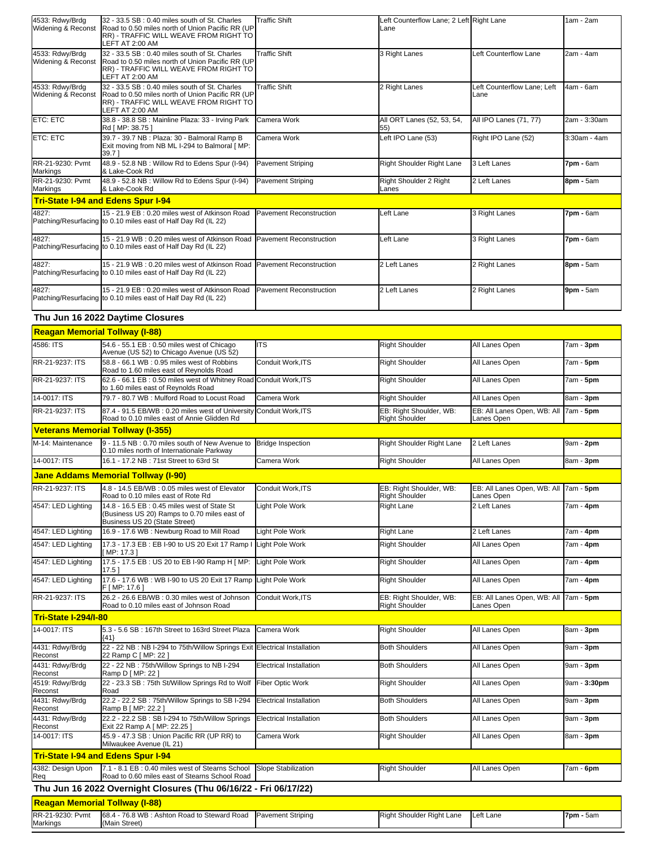| 4533: Rdwy/Brdg<br>Widening & Reconst                     | 32 - 33.5 SB : 0.40 miles south of St. Charles<br>Road to 0.50 miles north of Union Pacific RR (UP<br>RR) - TRAFFIC WILL WEAVE FROM RIGHT TO                    | <b>Traffic Shift</b>           | Left Counterflow Lane; 2 Left Right Lane<br>Lane |                                                     | 1am - 2am                     |
|-----------------------------------------------------------|-----------------------------------------------------------------------------------------------------------------------------------------------------------------|--------------------------------|--------------------------------------------------|-----------------------------------------------------|-------------------------------|
|                                                           | LEFT AT 2:00 AM                                                                                                                                                 |                                |                                                  |                                                     |                               |
| 4533: Rdwy/Brdg<br>Widening & Reconst                     | 32 - 33.5 SB : 0.40 miles south of St. Charles<br>Road to 0.50 miles north of Union Pacific RR (UP<br>RR) - TRAFFIC WILL WEAVE FROM RIGHT TO<br>LEFT AT 2:00 AM | <b>Traffic Shift</b>           | 3 Right Lanes                                    | Left Counterflow Lane                               | 2am - 4am                     |
| 4533: Rdwy/Brdg<br>Widening & Reconst                     | 32 - 33.5 SB: 0.40 miles south of St. Charles<br>Road to 0.50 miles north of Union Pacific RR (UP<br>RR) - TRAFFIC WILL WEAVE FROM RIGHT TO<br>LEFT AT 2:00 AM  | <b>Traffic Shift</b>           | 2 Right Lanes                                    | Left Counterflow Lane; Left<br>Lane                 | 4am - 6am                     |
| ETC: ETC                                                  | 38.8 - 38.8 SB : Mainline Plaza: 33 - Irving Park<br>Rd [ MP: 38.75 ]                                                                                           | <b>I</b> Camera Work           | All ORT Lanes (52, 53, 54,<br>55)                | All IPO Lanes (71, 77)                              | 2am - 3:30am                  |
| ETC: ETC                                                  | 39.7 - 39.7 NB : Plaza: 30 - Balmoral Ramp B<br>Exit moving from NB ML I-294 to Balmoral [ MP:<br>39.71                                                         | Camera Work                    | Left IPO Lane (53)                               | Right IPO Lane (52)                                 | 3:30am - 4am                  |
| RR-21-9230: Pvmt<br>Markings                              | 48.9 - 52.8 NB : Willow Rd to Edens Spur (I-94)<br>& Lake-Cook Rd                                                                                               | Pavement Striping              | Right Shoulder Right Lane                        | 3 Left Lanes                                        | 7pm - 6am                     |
| RR-21-9230: Pvmt<br>Markings                              | 48.9 - 52.8 NB : Willow Rd to Edens Spur (I-94)<br>& Lake-Cook Rd                                                                                               | Pavement Striping              | Right Shoulder 2 Right<br>Lanes                  | 2 Left Lanes                                        | 8pm - 5am                     |
|                                                           | <b>Tri-State I-94 and Edens Spur I-94</b>                                                                                                                       |                                |                                                  |                                                     |                               |
| 4827:                                                     | 15 - 21.9 EB: 0.20 miles west of Atkinson Road<br>Patching/Resurfacing to 0.10 miles east of Half Day Rd (IL 22)                                                | Pavement Reconstruction        | Left Lane                                        | 3 Right Lanes                                       | 7pm - 6am                     |
| 4827:                                                     | 15 - 21.9 WB : 0.20 miles west of Atkinson Road<br>Patching/Resurfacing to 0.10 miles east of Half Day Rd (IL 22)                                               | Pavement Reconstruction        | Left Lane                                        | 3 Right Lanes                                       | 7pm - 6am                     |
| 4827:                                                     | 15 - 21.9 WB: 0.20 miles west of Atkinson Road<br>Patching/Resurfacing to 0.10 miles east of Half Day Rd (IL 22)                                                | Pavement Reconstruction        | 2 Left Lanes                                     | 2 Right Lanes                                       | 8pm - 5am                     |
| 4827:                                                     | 15 - 21.9 EB: 0.20 miles west of Atkinson Road<br>Patching/Resurfacing to 0.10 miles east of Half Day Rd (IL 22)                                                | <b>Pavement Reconstruction</b> | 2 Left Lanes                                     | 2 Right Lanes                                       | 9pm - 5am                     |
|                                                           | Thu Jun 16 2022 Daytime Closures                                                                                                                                |                                |                                                  |                                                     |                               |
| <b>Reagan Memorial Tollway (I-88)</b>                     |                                                                                                                                                                 |                                |                                                  |                                                     |                               |
| 4586: ITS                                                 | 54.6 - 55.1 EB : 0.50 miles west of Chicago                                                                                                                     | IITS                           | <b>Right Shoulder</b>                            | All Lanes Open                                      | 7am - 3pm                     |
| RR-21-9237: ITS                                           | Avenue (US 52) to Chicago Avenue (US 52)<br>58.8 - 66.1 WB: 0.95 miles west of Robbins                                                                          | Conduit Work, ITS              | <b>Right Shoulder</b>                            | All Lanes Open                                      | 7am - <b>5pm</b>              |
| RR-21-9237: ITS                                           | Road to 1.60 miles east of Reynolds Road<br>62.6 - 66.1 EB: 0.50 miles west of Whitney Road Conduit Work, ITS                                                   |                                | <b>Right Shoulder</b>                            | All Lanes Open                                      | 7am - <b>5pm</b>              |
|                                                           | to 1.60 miles east of Reynolds Road                                                                                                                             |                                |                                                  |                                                     |                               |
| 14-0017: ITS<br>RR-21-9237: ITS                           | 79.7 - 80.7 WB: Mulford Road to Locust Road<br>87.4 - 91.5 EB/WB: 0.20 miles west of University Conduit Work, ITS                                               | Camera Work                    | <b>Right Shoulder</b><br>EB: Right Shoulder, WB: | All Lanes Open<br>EB: All Lanes Open, WB: All       | 8am - <b>3pm</b><br>7am - 5pm |
|                                                           | Road to 0.10 miles east of Annie Glidden Rd                                                                                                                     |                                | <b>Right Shoulder</b>                            | Lanes Open                                          |                               |
|                                                           |                                                                                                                                                                 |                                |                                                  |                                                     |                               |
|                                                           | <b>Veterans Memorial Tollway (I-355)</b>                                                                                                                        |                                |                                                  |                                                     |                               |
| M-14: Maintenance                                         | 9 - 11.5 NB: 0.70 miles south of New Avenue to<br>0.10 miles north of Internationale Parkway                                                                    | <b>Bridge Inspection</b>       | Right Shoulder Right Lane                        | 2 Left Lanes                                        | 9am - 2pm                     |
| 14-0017: ITS                                              | 16.1 - 17.2 NB : 71st Street to 63rd St                                                                                                                         | Camera Work                    | <b>Right Shoulder</b>                            | All Lanes Open                                      | 8am - 3pm                     |
|                                                           | <b>Jane Addams Memorial Tollway (I-90)</b>                                                                                                                      |                                |                                                  |                                                     |                               |
| RR-21-9237: ITS                                           | 4.8 - 14.5 EB/WB : 0.05 miles west of Elevator<br>Road to 0.10 miles east of Rote Rd                                                                            | Conduit Work, ITS              | EB: Right Shoulder, WB:<br><b>Right Shoulder</b> | EB: All Lanes Open, WB: All 7am - 5pm<br>Lanes Open |                               |
| 4547: LED Lighting                                        | 14.8 - 16.5 EB : 0.45 miles west of State St<br>(Business US 20) Ramps to 0.70 miles east of<br>Business US 20 (State Street)                                   | Light Pole Work                | Right Lane                                       | 2 Left Lanes                                        | 7am - 4pm                     |
| 4547: LED Lighting                                        | 16.9 - 17.6 WB: Newburg Road to Mill Road                                                                                                                       | Light Pole Work                | <b>Right Lane</b>                                | 2 Left Lanes                                        | 7am - 4pm                     |
| 4547: LED Lighting                                        | 17.3 - 17.3 EB: EB I-90 to US 20 Exit 17 Ramp I<br>[MP: 17.3 ]                                                                                                  | Light Pole Work                | <b>Right Shoulder</b>                            | All Lanes Open                                      | 7am - 4pm                     |
| 4547: LED Lighting                                        | 17.5 - 17.5 EB: US 20 to EB I-90 Ramp H [ MP:<br>17.5 ]                                                                                                         | Light Pole Work                | <b>Right Shoulder</b>                            | All Lanes Open                                      | 7am - 4pm                     |
| 4547: LED Lighting                                        | 17.6 - 17.6 WB: WB I-90 to US 20 Exit 17 Ramp<br>F [ MP: 17.6 ]                                                                                                 | Light Pole Work                | <b>Right Shoulder</b>                            | All Lanes Open                                      | 7am - <b>4pm</b>              |
| RR-21-9237: ITS                                           | 26.2 - 26.6 EB/WB: 0.30 miles west of Johnson<br>Road to 0.10 miles east of Johnson Road                                                                        | Conduit Work, ITS              | EB: Right Shoulder, WB:<br><b>Right Shoulder</b> | EB: All Lanes Open, WB: All<br>Lanes Open           | 7am - 5pm                     |
| <b>Tri-State I-294/I-80</b>                               |                                                                                                                                                                 |                                |                                                  |                                                     |                               |
| 14-0017: ITS                                              | 5.3 - 5.6 SB: 167th Street to 163rd Street Plaza<br>{41}                                                                                                        | Camera Work                    | <b>Right Shoulder</b>                            | All Lanes Open                                      | 8am - 3pm                     |
| 4431: Rdwy/Brdg<br>Reconst                                | 22 - 22 NB : NB I-294 to 75th/Willow Springs Exit<br>22 Ramp C [ MP: 22 ]                                                                                       | Electrical Installation        | <b>Both Shoulders</b>                            | All Lanes Open                                      | 9am - 3pm                     |
| 4431: Rdwy/Brdg                                           | 22 - 22 NB: 75th/Willow Springs to NB I-294                                                                                                                     | <b>Electrical Installation</b> | <b>Both Shoulders</b>                            | All Lanes Open                                      | 9am - <b>3pm</b>              |
| Reconst<br>4519: Rdwy/Brdg                                | Ramp D [ MP: 22 ]<br>22 - 23.3 SB: 75th St/Willow Springs Rd to Wolf                                                                                            | Fiber Optic Work               | <b>Right Shoulder</b>                            | All Lanes Open                                      | 9am - 3:30pm                  |
| Reconst<br>4431: Rdwy/Brdg                                | Road<br>22.2 - 22.2 SB: 75th/Willow Springs to SB I-294                                                                                                         | <b>Electrical Installation</b> | <b>Both Shoulders</b>                            | All Lanes Open                                      | 9am - 3pm                     |
| Reconst<br>4431: Rdwy/Brdg                                | Ramp B [ MP: 22.2 ]<br>22.2 - 22.2 SB: SB I-294 to 75th/Willow Springs                                                                                          | <b>Electrical Installation</b> | <b>Both Shoulders</b>                            | All Lanes Open                                      | 9am - <b>3pm</b>              |
| Reconst<br>14-0017: ITS                                   | Exit 22 Ramp A [ MP: 22.25 ]<br>45.9 - 47.3 SB: Union Pacific RR (UP RR) to                                                                                     | Camera Work                    | <b>Right Shoulder</b>                            | All Lanes Open                                      | 8am - 3pm                     |
|                                                           | Milwaukee Avenue (IL 21)                                                                                                                                        |                                |                                                  |                                                     |                               |
| 4382: Design Upon                                         | <b>Tri-State I-94 and Edens Spur I-94</b><br>7.1 - 8.1 EB: 0.40 miles west of Stearns School                                                                    | <b>Slope Stabilization</b>     | <b>Right Shoulder</b>                            | All Lanes Open                                      | 7am - 6pm                     |
| Req                                                       | Road to 0.60 miles east of Stearns School Road                                                                                                                  |                                |                                                  |                                                     |                               |
|                                                           | Thu Jun 16 2022 Overnight Closures (Thu 06/16/22 - Fri 06/17/22)                                                                                                |                                |                                                  |                                                     |                               |
| <b>Reagan Memorial Tollway (I-88)</b><br>RR-21-9230: Pvmt | 68.4 - 76.8 WB: Ashton Road to Steward Road                                                                                                                     | Pavement Striping              | Right Shoulder Right Lane                        | Left Lane                                           | <b>7pm -</b> 5am              |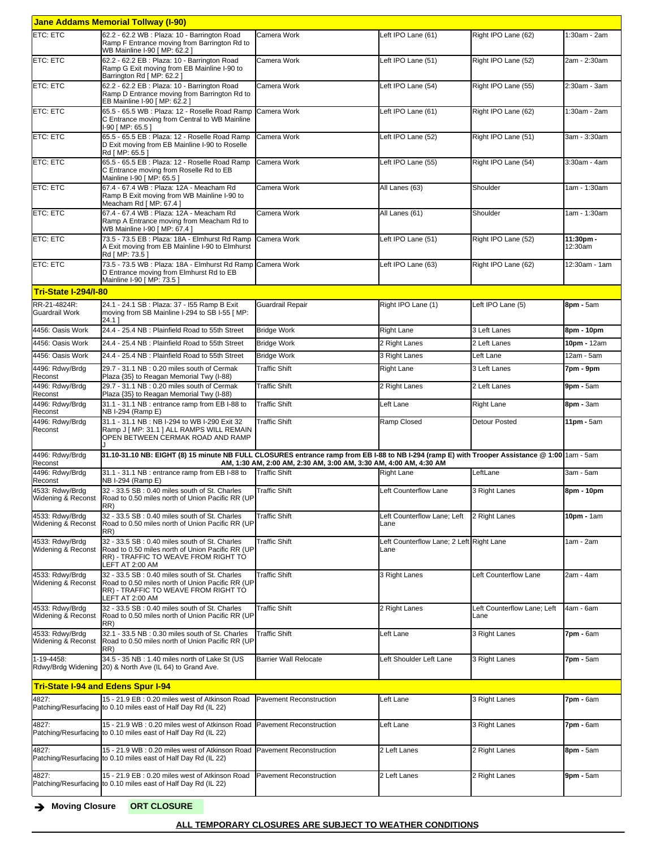|                                                  | <b>Jane Addams Memorial Tollway (I-90)</b>                                                                                                                                                                         |                                |                                                  |                                     |                      |
|--------------------------------------------------|--------------------------------------------------------------------------------------------------------------------------------------------------------------------------------------------------------------------|--------------------------------|--------------------------------------------------|-------------------------------------|----------------------|
| ETC: ETC                                         | 62.2 - 62.2 WB : Plaza: 10 - Barrington Road<br>Ramp F Entrance moving from Barrington Rd to<br>WB Mainline I-90 [ MP: 62.2 ]                                                                                      | Camera Work                    | Left IPO Lane (61)                               | Right IPO Lane (62)                 | 1:30am - 2am         |
| <b>ETC: ETC</b>                                  | 62.2 - 62.2 EB : Plaza: 10 - Barrington Road<br>Ramp G Exit moving from EB Mainline I-90 to<br>Barrington Rd [ MP: 62.2 ]                                                                                          | Camera Work                    | Left IPO Lane (51)                               | Right IPO Lane (52)                 | 2am - 2:30am         |
| ETC: ETC                                         | 62.2 - 62.2 EB : Plaza: 10 - Barrington Road<br>Ramp D Entrance moving from Barrington Rd to<br>EB Mainline I-90 [ MP: 62.2 ]                                                                                      | Camera Work                    | Left IPO Lane (54)                               | Right IPO Lane (55)                 | 2:30am - 3am         |
| <b>ETC: ETC</b>                                  | 65.5 - 65.5 WB : Plaza: 12 - Roselle Road Ramp<br>C Entrance moving from Central to WB Mainline<br>I-90 [ MP: 65.5 ]                                                                                               | Camera Work                    | Left IPO Lane (61)                               | Right IPO Lane (62)                 | 1:30am - 2am         |
| <b>ETC: ETC</b>                                  | 65.5 - 65.5 EB : Plaza: 12 - Roselle Road Ramp<br>D Exit moving from EB Mainline I-90 to Roselle<br>Rd [ MP: 65.5 ]                                                                                                | Camera Work                    | Left IPO Lane (52)                               | Right IPO Lane (51)                 | 3am - 3:30am         |
| <b>ETC: ETC</b>                                  | 65.5 - 65.5 EB : Plaza: 12 - Roselle Road Ramp<br>C Entrance moving from Roselle Rd to EB<br>Mainline I-90 [ MP: 65.5 ]                                                                                            | Camera Work                    | Left IPO Lane (55)                               | Right IPO Lane (54)                 | 3:30am - 4am         |
| ETC: ETC                                         | 67.4 - 67.4 WB : Plaza: 12A - Meacham Rd<br>Ramp B Exit moving from WB Mainline I-90 to<br>Meacham Rd [ MP: 67.4 ]                                                                                                 | Camera Work                    | All Lanes (63)                                   | Shoulder                            | 1am - 1:30am         |
| ETC: ETC                                         | 67.4 - 67.4 WB : Plaza: 12A - Meacham Rd<br>Ramp A Entrance moving from Meacham Rd to<br>WB Mainline I-90 [ MP: 67.4 ]                                                                                             | Camera Work                    | All Lanes (61)                                   | Shoulder                            | 1am - 1:30am         |
| <b>ETC: ETC</b>                                  | 73.5 - 73.5 EB : Plaza: 18A - Elmhurst Rd Ramp<br>A Exit moving from EB Mainline I-90 to Elmhurst<br>Rd [ MP: 73.5 ]                                                                                               | Camera Work                    | Left IPO Lane (51)                               | Right IPO Lane (52)                 | 11:30pm -<br>12:30am |
| ETC: ETC                                         | 73.5 - 73.5 WB : Plaza: 18A - Elmhurst Rd Ramp<br>D Entrance moving from Elmhurst Rd to EB<br>Mainline I-90 [ MP: 73.5 ]                                                                                           | Camera Work                    | Left IPO Lane (63)                               | Right IPO Lane (62)                 | 12:30am - 1am        |
| <b>Tri-State I-294/I-80</b>                      |                                                                                                                                                                                                                    |                                |                                                  |                                     |                      |
| RR-21-4824R:<br><b>Guardrail Work</b>            | 24.1 - 24.1 SB : Plaza: 37 - 155 Ramp B Exit<br>moving from SB Mainline I-294 to SB I-55 [ MP:<br>24.11                                                                                                            | Guardrail Repair               | Right IPO Lane (1)                               | Left IPO Lane (5)                   | 8pm - 5am            |
| 4456: Oasis Work                                 | 24.4 - 25.4 NB : Plainfield Road to 55th Street                                                                                                                                                                    | <b>Bridge Work</b>             | <b>Right Lane</b>                                | 3 Left Lanes                        | 8pm - 10pm           |
| 4456: Oasis Work                                 | 24.4 - 25.4 NB: Plainfield Road to 55th Street                                                                                                                                                                     | <b>Bridge Work</b>             | 2 Right Lanes                                    | 2 Left Lanes                        | 10pm - 12am          |
| 4456: Oasis Work                                 | 24.4 - 25.4 NB: Plainfield Road to 55th Street                                                                                                                                                                     | <b>Bridge Work</b>             | 3 Right Lanes                                    | Left Lane                           | 12am - 5am           |
| 4496: Rdwy/Brdg                                  | 29.7 - 31.1 NB : 0.20 miles south of Cermak                                                                                                                                                                        | <b>Traffic Shift</b>           | <b>Right Lane</b>                                | 3 Left Lanes                        | 7pm - 9pm            |
| Reconst<br>4496: Rdwy/Brdg                       | Plaza {35} to Reagan Memorial Twy (I-88)<br>29.7 - 31.1 NB: 0.20 miles south of Cermak                                                                                                                             | <b>Traffic Shift</b>           | 2 Right Lanes                                    | 2 Left Lanes                        | $9$ pm - $5$ am      |
| Reconst<br>4496: Rdwy/Brdg                       | Plaza {35} to Reagan Memorial Twy (I-88)<br>31.1 - 31.1 NB : entrance ramp from EB I-88 to                                                                                                                         | <b>Traffic Shift</b>           | Left Lane                                        | <b>Right Lane</b>                   | 8pm - 3am            |
| Reconst                                          | NB I-294 (Ramp E)                                                                                                                                                                                                  |                                |                                                  |                                     |                      |
| 4496: Rdwy/Brdg<br>Reconst                       | 31.1 - 31.1 NB: NB I-294 to WB I-290 Exit 32<br>Ramp J   MP: 31.1   ALL RAMPS WILL REMAIN<br>OPEN BETWEEN CERMAK ROAD AND RAMP                                                                                     | <b>Traffic Shift</b>           | Ramp Closed                                      | <b>Detour Posted</b>                | 11pm - 5am           |
| 4496: Rdwv/Brda<br>Reconst                       | 31.10-31.10 NB: EIGHT (8) 15 minute NB FULL CLOSURES entrance ramp from EB I-88 to NB I-294 (ramp E) with Trooper Assistance @ 1:00 1am - 5am<br>AM, 1:30 AM, 2:00 AM, 2:30 AM, 3:00 AM, 3:30 AM, 4:00 AM, 4:30 AM |                                |                                                  |                                     |                      |
| 4496: Rdwv/Brda                                  | 31.1 - 31.1 NB : entrance ramp from EB I-88 to                                                                                                                                                                     | <b>Traffic Shift</b>           | <b>Right Lane</b>                                | LeftLane                            | 3am - 5am            |
| Reconst<br>4533: Rdwy/Brdg<br>Widening & Reconst | NB I-294 (Ramp E)<br>32 - 33.5 SB : 0.40 miles south of St. Charles<br>Road to 0.50 miles north of Union Pacific RR (UP                                                                                            | <b>Traffic Shift</b>           | Left Counterflow Lane                            | 3 Right Lanes                       | 8pm - 10pm           |
| 4533: Rdwy/Brdg<br>Widening & Reconst            | $ RR\rangle$<br>32 - 33.5 SB : 0.40 miles south of St. Charles<br>Road to 0.50 miles north of Union Pacific RR (UP<br>RR)                                                                                          | <b>Traffic Shift</b>           | Left Counterflow Lane; Left<br>Lane              | 2 Right Lanes                       | 10pm - 1am           |
| 4533: Rdwy/Brdg<br>Widening & Reconst            | 32 - 33.5 SB : 0.40 miles south of St. Charles<br>Road to 0.50 miles north of Union Pacific RR (UP<br>RR) - TRAFFIC TO WEAVE FROM RIGHT TO<br>LEFT AT 2:00 AM                                                      | <b>Traffic Shift</b>           | Left Counterflow Lane; 2 Left Right Lane<br>Lane |                                     | 1am - 2am            |
| 4533: Rdwy/Brdg<br>Widening & Reconst            | 32 - 33.5 SB : 0.40 miles south of St. Charles<br>Road to 0.50 miles north of Union Pacific RR (UP<br>RR) - TRAFFIC TO WEAVE FROM RIGHT TO<br>LEFT AT 2:00 AM                                                      | <b>Traffic Shift</b>           | 3 Right Lanes                                    | Left Counterflow Lane               | 2am - 4am            |
| 4533: Rdwy/Brdg<br>Widening & Reconst            | 32 - 33.5 SB : 0.40 miles south of St. Charles<br>Road to 0.50 miles north of Union Pacific RR (UP<br>RR)                                                                                                          | <b>Traffic Shift</b>           | 2 Right Lanes                                    | Left Counterflow Lane; Left<br>Lane | 4am - 6am            |
| 4533: Rdwy/Brdg<br>Widening & Reconst            | 32.1 - 33.5 NB: 0.30 miles south of St. Charles<br>Road to 0.50 miles north of Union Pacific RR (UP<br>RR)                                                                                                         | <b>Traffic Shift</b>           | Left Lane                                        | 3 Right Lanes                       | 7pm - 6am            |
| 1-19-4458:                                       | 34.5 - 35 NB: 1.40 miles north of Lake St (US<br>Rdwy/Brdg Widening 20) & North Ave (IL 64) to Grand Ave.                                                                                                          | <b>Barrier Wall Relocate</b>   | Left Shoulder Left Lane                          | 3 Right Lanes                       | 7pm - 5am            |
| <b>Tri-State I-94 and Edens Spur I-94</b>        |                                                                                                                                                                                                                    |                                |                                                  |                                     |                      |
| 4827:                                            | 15 - 21.9 EB: 0.20 miles west of Atkinson Road<br>Patching/Resurfacing to 0.10 miles east of Half Day Rd (IL 22)                                                                                                   | <b>Pavement Reconstruction</b> | Left Lane                                        | 3 Right Lanes                       | 7pm - 6am            |
| 4827:                                            | 15 - 21.9 WB: 0.20 miles west of Atkinson Road Pavement Reconstruction<br>Patching/Resurfacing to 0.10 miles east of Half Day Rd (IL 22)                                                                           |                                | Left Lane                                        | 3 Right Lanes                       | 7pm - 6am            |
| 4827:                                            | 15 - 21.9 WB: 0.20 miles west of Atkinson Road Pavement Reconstruction<br>Patching/Resurfacing to 0.10 miles east of Half Day Rd (IL 22)                                                                           |                                | 2 Left Lanes                                     | 2 Right Lanes                       | 8pm - 5am            |
| 4827:                                            | 15 - 21.9 EB: 0.20 miles west of Atkinson Road<br>Patching/Resurfacing to 0.10 miles east of Half Day Rd (IL 22)                                                                                                   | Pavement Reconstruction        | 2 Left Lanes                                     | 2 Right Lanes                       | 9pm - 5am            |

è **Moving Closure ORT CLOSURE**

## **ALL TEMPORARY CLOSURES ARE SUBJECT TO WEATHER CONDITIONS**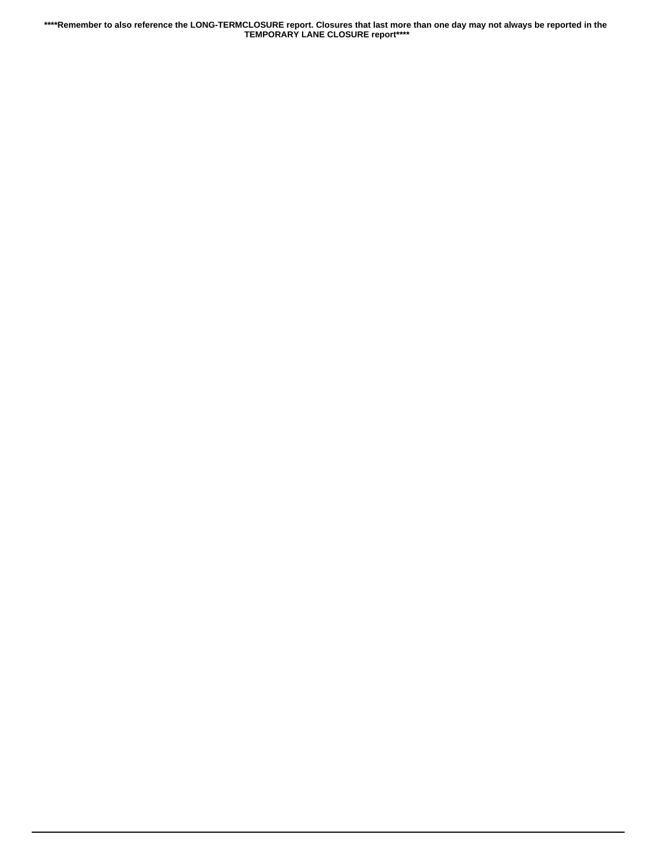**\*\*\*\*Remember to also reference the LONG-TERMCLOSURE report. Closures that last more than one day may not always be reported in the TEMPORARY LANE CLOSURE report\*\*\*\***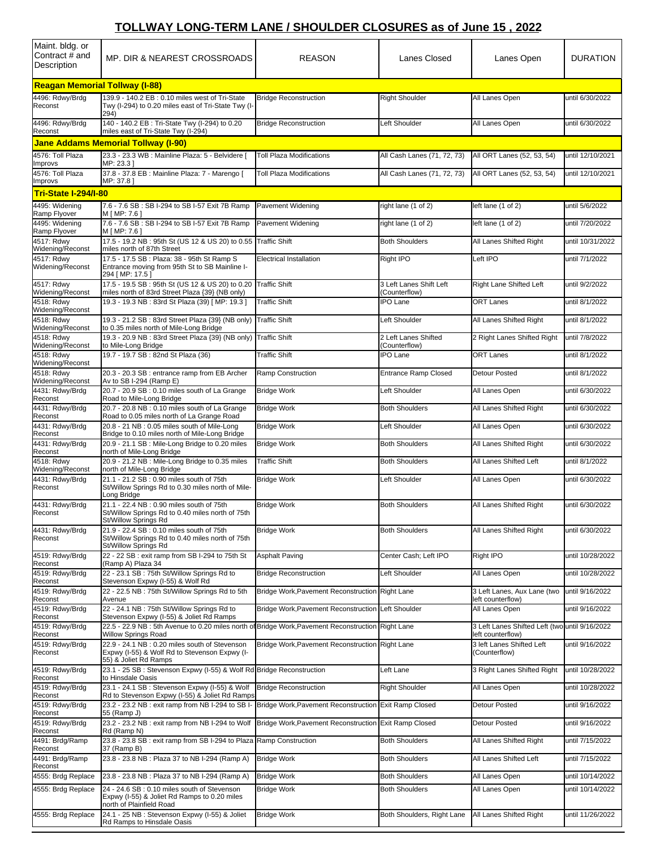## **TOLLWAY LONG-TERM LANE / SHOULDER CLOSURES as of June 15 , 2022**

| Maint. bldg. or<br>Contract # and<br>Description | MP. DIR & NEAREST CROSSROADS                                                                                                                   | <b>REASON</b>                                         | Lanes Closed                             | Lanes Open                                                      | <b>DURATION</b>  |  |
|--------------------------------------------------|------------------------------------------------------------------------------------------------------------------------------------------------|-------------------------------------------------------|------------------------------------------|-----------------------------------------------------------------|------------------|--|
| <b>Reagan Memorial Tollway (I-88)</b>            |                                                                                                                                                |                                                       |                                          |                                                                 |                  |  |
| 4496: Rdwy/Brdg<br>Reconst                       | 139.9 - 140.2 EB : 0.10 miles west of Tri-State<br>Twy (I-294) to 0.20 miles east of Tri-State Twy (I-<br>294)                                 | <b>Bridge Reconstruction</b>                          | <b>Right Shoulder</b>                    | All Lanes Open                                                  | until 6/30/2022  |  |
| 4496: Rdwy/Brdg<br>Reconst                       | 140 - 140.2 EB : Tri-State Twy (I-294) to 0.20<br>miles east of Tri-State Twy (I-294)                                                          | <b>Bridge Reconstruction</b>                          | Left Shoulder                            | All Lanes Open                                                  | until 6/30/2022  |  |
|                                                  | <b>Jane Addams Memorial Tollway (I-90)</b>                                                                                                     |                                                       |                                          |                                                                 |                  |  |
| 4576: Toll Plaza<br>Improvs                      | 23.3 - 23.3 WB : Mainline Plaza: 5 - Belvidere [<br>MP: 23.31                                                                                  | <b>Toll Plaza Modifications</b>                       | All Cash Lanes (71, 72, 73)              | All ORT Lanes (52, 53, 54)                                      | until 12/10/2021 |  |
| 4576: Toll Plaza                                 | 37.8 - 37.8 EB : Mainline Plaza: 7 - Marengo [                                                                                                 | <b>Toll Plaza Modifications</b>                       | All Cash Lanes (71, 72, 73)              | All ORT Lanes (52, 53, 54)                                      | until 12/10/2021 |  |
| Improvs<br><b>Tri-State I-294/I-80</b>           | MP: 37.81                                                                                                                                      |                                                       |                                          |                                                                 |                  |  |
| 4495: Widening                                   | 7.6 - 7.6 SB: SB I-294 to SB I-57 Exit 7B Ramp                                                                                                 | <b>Pavement Widening</b>                              | right lane (1 of 2)                      | left lane (1 of 2)                                              | until 5/6/2022   |  |
| Ramp Flyover<br>4495: Widening                   | M [ MP: 7.6 ]<br>7.6 - 7.6 SB : SB I-294 to SB I-57 Exit 7B Ramp                                                                               | Pavement Widening                                     | right lane (1 of 2)                      | left lane (1 of 2)                                              | until 7/20/2022  |  |
| Ramp Flyover<br>4517: Rdwy                       | M [ MP: 7.6 ]<br>17.5 - 19.2 NB: 95th St (US 12 & US 20) to 0.55                                                                               | <b>Traffic Shift</b>                                  | <b>Both Shoulders</b>                    | All Lanes Shifted Right                                         | until 10/31/2022 |  |
| Widening/Reconst<br>4517: Rdwy                   | miles north of 87th Street<br>17.5 - 17.5 SB : Plaza: 38 - 95th St Ramp S                                                                      | <b>Electrical Installation</b>                        | Right IPO                                | Left IPO                                                        | until 7/1/2022   |  |
| Widening/Reconst                                 | Entrance moving from 95th St to SB Mainline I-<br>294 [MP: 17.5]                                                                               |                                                       |                                          |                                                                 |                  |  |
| 4517: Rdwy<br>Widening/Reconst                   | 17.5 - 19.5 SB: 95th St (US 12 & US 20) to 0.20<br>miles north of 83rd Street Plaza {39} (NB only)                                             | <b>Traffic Shift</b>                                  | 3 Left Lanes Shift Left<br>(Counterflow) | Right Lane Shifted Left                                         | until 9/2/2022   |  |
| 4518: Rdwy<br>Widening/Reconst                   | 19.3 - 19.3 NB: 83rd St Plaza (39) [ MP: 19.3 ]                                                                                                | <b>Traffic Shift</b>                                  | <b>IPO Lane</b>                          | <b>ORT Lanes</b>                                                | until 8/1/2022   |  |
| 4518: Rdwy<br>Widening/Reconst                   | 19.3 - 21.2 SB: 83rd Street Plaza {39} (NB only)<br>to 0.35 miles north of Mile-Long Bridge                                                    | <b>Traffic Shift</b>                                  | Left Shoulder                            | All Lanes Shifted Right                                         | until 8/1/2022   |  |
| 4518: Rdwy<br>Widening/Reconst                   | 19.3 - 20.9 NB: 83rd Street Plaza {39} (NB only)<br>to Mile-Long Bridge                                                                        | <b>Traffic Shift</b>                                  | 2 Left Lanes Shifted<br>(Counterflow)    | 2 Right Lanes Shifted Right                                     | until 7/8/2022   |  |
| 4518: Rdwy                                       | 19.7 - 19.7 SB: 82nd St Plaza (36)                                                                                                             | Traffic Shift                                         | <b>IPO Lane</b>                          | <b>ORT Lanes</b>                                                | until 8/1/2022   |  |
| Widening/Reconst<br>4518: Rdwy                   | 20.3 - 20.3 SB : entrance ramp from EB Archer                                                                                                  | Ramp Construction                                     | <b>Entrance Ramp Closed</b>              | Detour Posted                                                   | until 8/1/2022   |  |
| Widening/Reconst<br>4431: Rdwy/Brdg              | Av to SB I-294 (Ramp E)<br>20.7 - 20.9 SB: 0.10 miles south of La Grange                                                                       | <b>Bridge Work</b>                                    | Left Shoulder                            | All Lanes Open                                                  | until 6/30/2022  |  |
| Reconst<br>4431: Rdwy/Brdg                       | Road to Mile-Long Bridge<br>20.7 - 20.8 NB: 0.10 miles south of La Grange                                                                      | <b>Bridge Work</b>                                    | <b>Both Shoulders</b>                    | All Lanes Shifted Right                                         | until 6/30/2022  |  |
| Reconst<br>4431: Rdwy/Brdg                       | Road to 0.05 miles north of La Grange Road<br>20.8 - 21 NB: 0.05 miles south of Mile-Long                                                      | <b>Bridge Work</b>                                    | Left Shoulder                            | All Lanes Open                                                  | until 6/30/2022  |  |
| Reconst                                          | Bridge to 0.10 miles north of Mile-Long Bridge                                                                                                 |                                                       |                                          |                                                                 |                  |  |
| 4431: Rdwy/Brdg<br>Reconst                       | 20.9 - 21.1 SB: Mile-Long Bridge to 0.20 miles<br>north of Mile-Long Bridge                                                                    | <b>Bridge Work</b>                                    | <b>Both Shoulders</b>                    | All Lanes Shifted Right                                         | until 6/30/2022  |  |
| 4518: Rdwy<br>Widening/Reconst                   | 20.9 - 21.2 NB : Mile-Long Bridge to 0.35 miles<br>north of Mile-Long Bridge                                                                   | <b>Traffic Shift</b>                                  | <b>Both Shoulders</b>                    | All Lanes Shifted Left                                          | until 8/1/2022   |  |
| 4431: Rdwy/Brdg<br>Reconst                       | 21.1 - 21.2 SB: 0.90 miles south of 75th<br>St/Willow Springs Rd to 0.30 miles north of Mile-<br>Long Bridge                                   | <b>Bridge Work</b>                                    | Left Shoulder                            | All Lanes Open                                                  | until 6/30/2022  |  |
| 4431: Rdwy/Brdg<br>Reconst                       | 21.1 - 22.4 NB: 0.90 miles south of 75th<br>St/Willow Springs Rd to 0.40 miles north of 75th<br>St/Willow Springs Rd                           | <b>Bridge Work</b>                                    | <b>Both Shoulders</b>                    | All Lanes Shifted Right                                         | until 6/30/2022  |  |
| 4431: Rdwy/Brdg<br>Reconst                       | 21.9 - 22.4 SB: 0.10 miles south of 75th<br>St/Willow Springs Rd to 0.40 miles north of 75th<br>St/Willow Springs Rd                           | <b>Bridge Work</b>                                    | <b>Both Shoulders</b>                    | All Lanes Shifted Right                                         | until 6/30/2022  |  |
| 4519: Rdwy/Brdg<br>Reconst                       | 22 - 22 SB : exit ramp from SB I-294 to 75th St<br>(Ramp A) Plaza 34                                                                           | <b>Asphalt Paving</b>                                 | Center Cash; Left IPO                    | Right IPO                                                       | until 10/28/2022 |  |
| 4519: Rdwy/Brdg<br>Reconst                       | 22 - 23.1 SB: 75th St/Willow Springs Rd to<br>Stevenson Expwy (I-55) & Wolf Rd                                                                 | <b>Bridge Reconstruction</b>                          | Left Shoulder                            | All Lanes Open                                                  | until 10/28/2022 |  |
| 4519: Rdwy/Brdg<br>Reconst                       | 22 - 22.5 NB: 75th St/Willow Springs Rd to 5th<br>Avenue                                                                                       | Bridge Work, Pavement Reconstruction Right Lane       |                                          | 3 Left Lanes, Aux Lane (two<br>left counterflow)                | until 9/16/2022  |  |
| 4519: Rdwy/Brdg                                  | 22 - 24.1 NB: 75th St/Willow Springs Rd to                                                                                                     | Bridge Work, Pavement Reconstruction Left Shoulder    |                                          | All Lanes Open                                                  | until 9/16/2022  |  |
| Reconst<br>4519: Rdwy/Brdg                       | Stevenson Expwy (I-55) & Joliet Rd Ramps<br>22.5 - 22.9 NB : 5th Avenue to 0.20 miles north of Bridge Work, Pavement Reconstruction Right Lane |                                                       |                                          | 3 Left Lanes Shifted Left (two until 9/16/2022                  |                  |  |
| Reconst<br>4519: Rdwy/Brdg<br>Reconst            | <b>Willow Springs Road</b><br>22.9 - 24.1 NB: 0.20 miles south of Stevenson<br>Expwy (I-55) & Wolf Rd to Stevenson Expwy (I-                   | Bridge Work, Pavement Reconstruction Right Lane       |                                          | left counterflow)<br>3 left Lanes Shifted Left<br>(Counterflow) | until 9/16/2022  |  |
| 4519: Rdwy/Brdg                                  | 55) & Joliet Rd Ramps<br>23.1 - 25 SB: Stevenson Expwy (I-55) & Wolf Rd Bridge Reconstruction                                                  |                                                       | Left Lane                                | 3 Right Lanes Shifted Right                                     | until 10/28/2022 |  |
| Reconst<br>4519: Rdwy/Brdg                       | to Hinsdale Oasis<br>23.1 - 24.1 SB: Stevenson Expwy (I-55) & Wolf                                                                             | <b>Bridge Reconstruction</b>                          | <b>Right Shoulder</b>                    | All Lanes Open                                                  | until 10/28/2022 |  |
| Reconst<br>4519: Rdwy/Brdg                       | Rd to Stevenson Expwy (I-55) & Joliet Rd Ramps<br>23.2 - 23.2 NB : exit ramp from NB I-294 to SB I-                                            | Bridge Work, Pavement Reconstruction Exit Ramp Closed |                                          | Detour Posted                                                   | until 9/16/2022  |  |
| Reconst<br>4519: Rdwy/Brdg                       | 55 (Ramp J)<br>23.2 - 23.2 NB : exit ramp from NB I-294 to Wolf                                                                                | Bridge Work, Pavement Reconstruction Exit Ramp Closed |                                          | Detour Posted                                                   | until 9/16/2022  |  |
| Reconst                                          | Rd (Ramp N)                                                                                                                                    |                                                       |                                          |                                                                 |                  |  |
| 4491: Brdg/Ramp<br>Reconst                       | 23.8 - 23.8 SB: exit ramp from SB I-294 to Plaza Ramp Construction<br>37 (Ramp B)                                                              |                                                       | <b>Both Shoulders</b>                    | All Lanes Shifted Right                                         | until 7/15/2022  |  |
| 4491: Brdg/Ramp<br>Reconst                       | 23.8 - 23.8 NB: Plaza 37 to NB I-294 (Ramp A)                                                                                                  | <b>Bridge Work</b>                                    | <b>Both Shoulders</b>                    | All Lanes Shifted Left                                          | until 7/15/2022  |  |
| 4555: Brdg Replace                               | 23.8 - 23.8 NB: Plaza 37 to NB I-294 (Ramp A)                                                                                                  | <b>Bridge Work</b>                                    | <b>Both Shoulders</b>                    | All Lanes Open                                                  | until 10/14/2022 |  |
| 4555: Brdg Replace                               | 24 - 24.6 SB : 0.10 miles south of Stevenson<br>Expwy (I-55) & Joliet Rd Ramps to 0.20 miles<br>north of Plainfield Road                       | <b>Bridge Work</b>                                    | <b>Both Shoulders</b>                    | All Lanes Open                                                  | until 10/14/2022 |  |
| 4555: Brdg Replace                               | 24.1 - 25 NB : Stevenson Expwy (I-55) & Joliet<br>Rd Ramps to Hinsdale Oasis                                                                   | <b>Bridge Work</b>                                    | Both Shoulders, Right Lane               | All Lanes Shifted Right                                         | until 11/26/2022 |  |